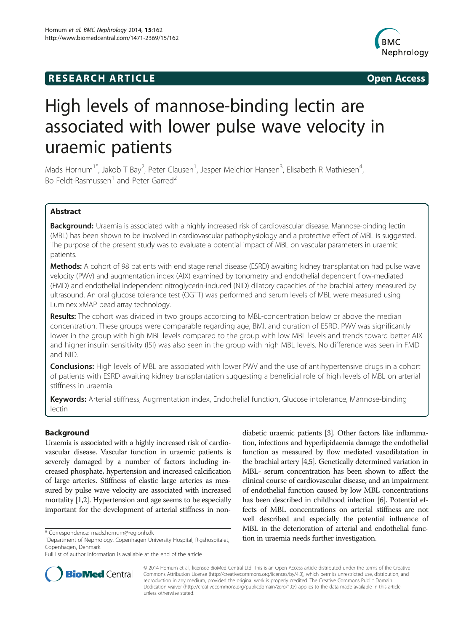## **RESEARCH ARTICLE Example 2014 The SEAR CH ACCESS**



# High levels of mannose-binding lectin are associated with lower pulse wave velocity in uraemic patients

Mads Hornum<sup>1\*</sup>, Jakob T Bay<sup>2</sup>, Peter Clausen<sup>1</sup>, Jesper Melchior Hansen<sup>3</sup>, Elisabeth R Mathiesen<sup>4</sup> , Bo Feldt-Rasmussen<sup>1</sup> and Peter Garred<sup>2</sup>

## Abstract

Background: Uraemia is associated with a highly increased risk of cardiovascular disease. Mannose-binding lectin (MBL) has been shown to be involved in cardiovascular pathophysiology and a protective effect of MBL is suggested. The purpose of the present study was to evaluate a potential impact of MBL on vascular parameters in uraemic patients.

Methods: A cohort of 98 patients with end stage renal disease (ESRD) awaiting kidney transplantation had pulse wave velocity (PWV) and augmentation index (AIX) examined by tonometry and endothelial dependent flow-mediated (FMD) and endothelial independent nitroglycerin-induced (NID) dilatory capacities of the brachial artery measured by ultrasound. An oral glucose tolerance test (OGTT) was performed and serum levels of MBL were measured using Luminex xMAP bead array technology.

Results: The cohort was divided in two groups according to MBL-concentration below or above the median concentration. These groups were comparable regarding age, BMI, and duration of ESRD. PWV was significantly lower in the group with high MBL levels compared to the group with low MBL levels and trends toward better AIX and higher insulin sensitivity (ISI) was also seen in the group with high MBL levels. No difference was seen in FMD and NID.

Conclusions: High levels of MBL are associated with lower PWV and the use of antihypertensive drugs in a cohort of patients with ESRD awaiting kidney transplantation suggesting a beneficial role of high levels of MBL on arterial stiffness in uraemia.

Keywords: Arterial stiffness, Augmentation index, Endothelial function, Glucose intolerance, Mannose-binding lectin

## Background

Uraemia is associated with a highly increased risk of cardiovascular disease. Vascular function in uraemic patients is severely damaged by a number of factors including increased phosphate, hypertension and increased calcification of large arteries. Stiffness of elastic large arteries as measured by pulse wave velocity are associated with increased mortality [[1,2](#page-5-0)]. Hypertension and age seems to be especially important for the development of arterial stiffness in non-

diabetic uraemic patients [\[3\]](#page-5-0). Other factors like inflammation, infections and hyperlipidaemia damage the endothelial function as measured by flow mediated vasodilatation in the brachial artery [[4,5\]](#page-5-0). Genetically determined variation in MBL- serum concentration has been shown to affect the clinical course of cardiovascular disease, and an impairment of endothelial function caused by low MBL concentrations has been described in childhood infection [\[6\]](#page-5-0). Potential effects of MBL concentrations on arterial stiffness are not well described and especially the potential influence of MBL in the deterioration of arterial and endothelial func\* Correspondence: [mads.hornum@regionh.dk](mailto:mads.hornum@regionh.dk)<br><sup>1</sup>Department of Nephrology, Copenhagen University Hospital, Rigshospitalet, **tion in uraemia needs further investigation.** 



© 2014 Hornum et al.; licensee BioMed Central Ltd. This is an Open Access article distributed under the terms of the Creative Commons Attribution License [\(http://creativecommons.org/licenses/by/4.0\)](http://creativecommons.org/licenses/by/4.0), which permits unrestricted use, distribution, and reproduction in any medium, provided the original work is properly credited. The Creative Commons Public Domain Dedication waiver [\(http://creativecommons.org/publicdomain/zero/1.0/](http://creativecommons.org/publicdomain/zero/1.0/)) applies to the data made available in this article, unless otherwise stated.

Copenhagen, Denmark

Full list of author information is available at the end of the article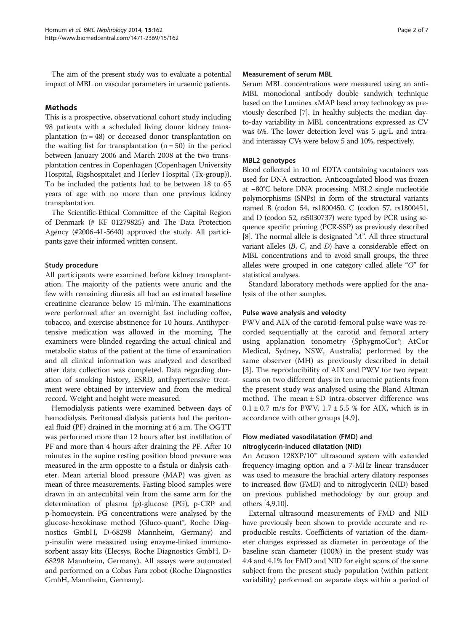The aim of the present study was to evaluate a potential impact of MBL on vascular parameters in uraemic patients.

## Methods

This is a prospective, observational cohort study including 98 patients with a scheduled living donor kidney transplantation  $(n = 48)$  or deceased donor transplantation on the waiting list for transplantation  $(n = 50)$  in the period between January 2006 and March 2008 at the two transplantation centres in Copenhagen (Copenhagen University Hospital, Rigshospitalet and Herlev Hospital (Tx-group)). To be included the patients had to be between 18 to 65 years of age with no more than one previous kidney transplantation.

The Scientific-Ethical Committee of the Capital Region of Denmark (# KF 01279825) and The Data Protection Agency (#2006-41-5640) approved the study. All participants gave their informed written consent.

#### Study procedure

All participants were examined before kidney transplantation. The majority of the patients were anuric and the few with remaining diuresis all had an estimated baseline creatinine clearance below 15 ml/min. The examinations were performed after an overnight fast including coffee, tobacco, and exercise abstinence for 10 hours. Antihypertensive medication was allowed in the morning. The examiners were blinded regarding the actual clinical and metabolic status of the patient at the time of examination and all clinical information was analyzed and described after data collection was completed. Data regarding duration of smoking history, ESRD, antihypertensive treatment were obtained by interview and from the medical record. Weight and height were measured.

Hemodialysis patients were examined between days of hemodialysis. Peritoneal dialysis patients had the peritoneal fluid (PF) drained in the morning at 6 a.m. The OGTT was performed more than 12 hours after last instillation of PF and more than 4 hours after draining the PF. After 10 minutes in the supine resting position blood pressure was measured in the arm opposite to a fistula or dialysis catheter. Mean arterial blood pressure (MAP) was given as mean of three measurements. Fasting blood samples were drawn in an antecubital vein from the same arm for the determination of plasma (p)-glucose (PG), p-CRP and p-homocystein. PG concentrations were analysed by the glucose-hexokinase method (Gluco-quant®, Roche Diagnostics GmbH, D-68298 Mannheim, Germany) and p-insulin were measured using enzyme-linked immunosorbent assay kits (Elecsys, Roche Diagnostics GmbH, D-68298 Mannheim, Germany). All assays were automated and performed on a Cobas Fara robot (Roche Diagnostics GmbH, Mannheim, Germany).

#### Measurement of serum MBL

Serum MBL concentrations were measured using an anti-MBL monoclonal antibody double sandwich technique based on the Luminex xMAP bead array technology as previously described [\[7](#page-5-0)]. In healthy subjects the median dayto-day variability in MBL concentrations expressed as CV was 6%. The lower detection level was 5 μg/L and intraand interassay CVs were below 5 and 10%, respectively.

#### MBL2 genotypes

Blood collected in 10 ml EDTA containing vacutainers was used for DNA extraction. Anticoagulated blood was frozen at −80°C before DNA processing. MBL2 single nucleotide polymorphisms (SNPs) in form of the structural variants named B (codon 54, rs1800450, C (codon 57, rs1800451, and D (codon 52, rs5030737) were typed by PCR using sequence specific priming (PCR-SSP) as previously described [[8](#page-5-0)]. The normal allele is designated "A". All three structural variant alleles  $(B, C, \text{ and } D)$  have a considerable effect on MBL concentrations and to avoid small groups, the three alleles were grouped in one category called allele "O" for statistical analyses.

Standard laboratory methods were applied for the analysis of the other samples.

#### Pulse wave analysis and velocity

PWV and AIX of the carotid-femoral pulse wave was recorded sequentially at the carotid and femoral artery using applanation tonometry (SphygmoCor®; AtCor Medical, Sydney, NSW, Australia) performed by the same observer (MH) as previously described in detail [[3\]](#page-5-0). The reproducibility of AIX and PWV for two repeat scans on two different days in ten uraemic patients from the present study was analysed using the Bland Altman method. The mean ± SD intra-observer difference was  $0.1 \pm 0.7$  m/s for PWV,  $1.7 \pm 5.5$  % for AIX, which is in accordance with other groups [[4,9](#page-5-0)].

## Flow mediated vasodilatation (FMD) and nitroglycerin-induced dilatation (NID)

An Acuson 128XP/10™ ultrasound system with extended frequency-imaging option and a 7-MHz linear transducer was used to measure the brachial artery dilatory responses to increased flow (FMD) and to nitroglycerin (NID) based on previous published methodology by our group and others [[4,9,10](#page-5-0)].

External ultrasound measurements of FMD and NID have previously been shown to provide accurate and reproducible results. Coefficients of variation of the diameter changes expressed as diameter in percentage of the baseline scan diameter (100%) in the present study was 4.4 and 4.1% for FMD and NID for eight scans of the same subject from the present study population (within patient variability) performed on separate days within a period of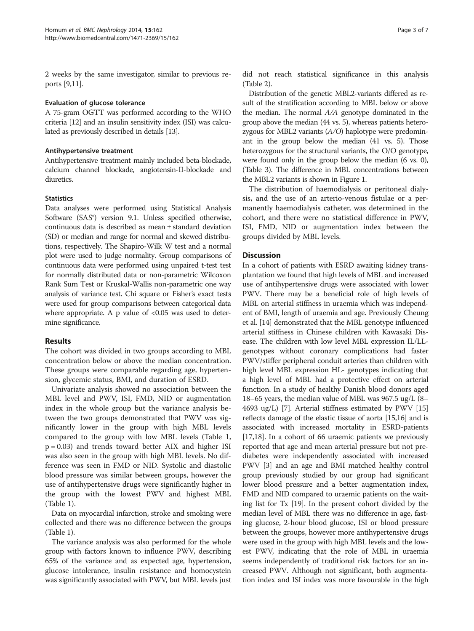2 weeks by the same investigator, similar to previous reports [\[9,11\]](#page-5-0).

#### Evaluation of glucose tolerance

A 75-gram OGTT was performed according to the WHO criteria [\[12](#page-5-0)] and an insulin sensitivity index (ISI) was calculated as previously described in details [\[13\]](#page-5-0).

#### Antihypertensive treatment

Antihypertensive treatment mainly included beta-blockade, calcium channel blockade, angiotensin-II-blockade and diuretics.

## **Statistics**

Data analyses were performed using Statistical Analysis Software (SAS®) version 9.1. Unless specified otherwise, continuous data is described as mean ± standard deviation (SD) or median and range for normal and skewed distributions, respectively. The Shapiro-Wilk W test and a normal plot were used to judge normality. Group comparisons of continuous data were performed using unpaired t-test test for normally distributed data or non-parametric Wilcoxon Rank Sum Test or Kruskal-Wallis non-parametric one way analysis of variance test. Chi square or Fisher's exact tests were used for group comparisons between categorical data where appropriate. A p value of  $< 0.05$  was used to determine significance.

## Results

The cohort was divided in two groups according to MBL concentration below or above the median concentration. These groups were comparable regarding age, hypertension, glycemic status, BMI, and duration of ESRD.

Univariate analysis showed no association between the MBL level and PWV, ISI, FMD, NID or augmentation index in the whole group but the variance analysis between the two groups demonstrated that PWV was significantly lower in the group with high MBL levels compared to the group with low MBL levels (Table [1](#page-3-0), p = 0.03) and trends toward better AIX and higher ISI was also seen in the group with high MBL levels. No difference was seen in FMD or NID. Systolic and diastolic blood pressure was similar between groups, however the use of antihypertensive drugs were significantly higher in the group with the lowest PWV and highest MBL (Table [1\)](#page-3-0).

Data on myocardial infarction, stroke and smoking were collected and there was no difference between the groups (Table [1](#page-3-0)).

The variance analysis was also performed for the whole group with factors known to influence PWV, describing 65% of the variance and as expected age, hypertension, glucose intolerance, insulin resistance and homocystein was significantly associated with PWV, but MBL levels just did not reach statistical significance in this analysis (Table [2](#page-4-0)).

Distribution of the genetic MBL2-variants differed as result of the stratification according to MBL below or above the median. The normal  $A/A$  genotype dominated in the group above the median (44 vs. 5), whereas patients heterozygous for MBL2 variants  $(A/O)$  haplotype were predominant in the group below the median (41 vs. 5). Those heterozygous for the structural variants, the O/O genotype, were found only in the group below the median (6 vs. 0), (Table [3\)](#page-4-0). The difference in MBL concentrations between the MBL2 variants is shown in Figure [1](#page-4-0).

The distribution of haemodialysis or peritoneal dialysis, and the use of an arterio-venous fistulae or a permanently haemodialysis catheter, was determined in the cohort, and there were no statistical difference in PWV, ISI, FMD, NID or augmentation index between the groups divided by MBL levels.

## **Discussion**

In a cohort of patients with ESRD awaiting kidney transplantation we found that high levels of MBL and increased use of antihypertensive drugs were associated with lower PWV. There may be a beneficial role of high levels of MBL on arterial stiffness in uraemia which was independent of BMI, length of uraemia and age. Previously Cheung et al. [\[14\]](#page-5-0) demonstrated that the MBL genotype influenced arterial stiffness in Chinese children with Kawasaki Disease. The children with low level MBL expression IL/LLgenotypes without coronary complications had faster PWV/stiffer peripheral conduit arteries than children with high level MBL expression HL- genotypes indicating that a high level of MBL had a protective effect on arterial function. In a study of healthy Danish blood donors aged 18–65 years, the median value of MBL was 967.5 ug/L (8– 4693 ug/L) [[7\]](#page-5-0). Arterial stiffness estimated by PWV [[15](#page-5-0)] reflects damage of the elastic tissue of aorta [\[15,16](#page-5-0)] and is associated with increased mortality in ESRD-patients [[17](#page-5-0),[18](#page-5-0)]. In a cohort of 66 uraemic patients we previously reported that age and mean arterial pressure but not prediabetes were independently associated with increased PWV [\[3\]](#page-5-0) and an age and BMI matched healthy control group previously studied by our group had significant lower blood pressure and a better augmentation index, FMD and NID compared to uraemic patients on the waiting list for Tx [\[19\]](#page-5-0). In the present cohort divided by the median level of MBL there was no difference in age, fasting glucose, 2-hour blood glucose, ISI or blood pressure between the groups, however more antihypertensive drugs were used in the group with high MBL levels and the lowest PWV, indicating that the role of MBL in uraemia seems independently of traditional risk factors for an increased PWV. Although not significant, both augmentation index and ISI index was more favourable in the high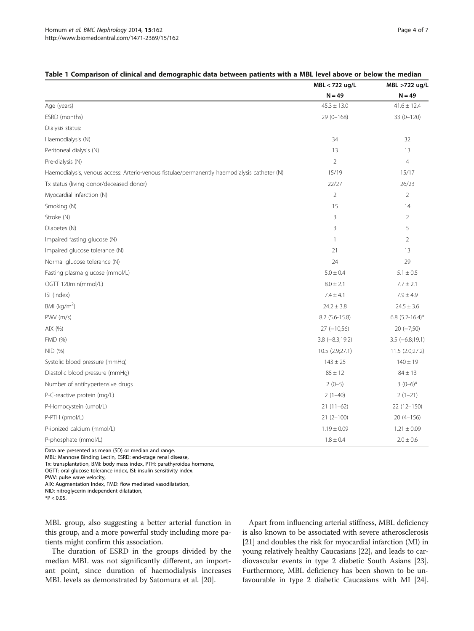|                                                                                              | MBL < 722 ug/L<br>$N = 49$ | MBL >722 ug/L<br>$N = 49$ |
|----------------------------------------------------------------------------------------------|----------------------------|---------------------------|
|                                                                                              |                            |                           |
| Age (years)                                                                                  | $45.3 \pm 13.0$            | $41.6 \pm 12.4$           |
| ESRD (months)                                                                                | $29(0-168)$                | $33(0-120)$               |
| Dialysis status:                                                                             |                            |                           |
| Haemodialysis (N)                                                                            | 34                         | 32                        |
| Peritoneal dialysis (N)                                                                      | 13                         | 13                        |
| Pre-dialysis (N)                                                                             | $\overline{2}$             | $\overline{4}$            |
| Haemodialysis, venous access: Arterio-venous fistulae/permanently haemodialysis catheter (N) | 15/19                      | 15/17                     |
| Tx status (living donor/deceased donor)                                                      | 22/27                      | 26/23                     |
| Myocardial infarction (N)                                                                    | $\overline{2}$             | $\overline{2}$            |
| Smoking (N)                                                                                  | 15                         | 14                        |
| Stroke (N)                                                                                   | 3                          | $\overline{2}$            |
| Diabetes (N)                                                                                 | 3                          | 5                         |
| Impaired fasting glucose (N)                                                                 | 1                          | $\overline{2}$            |
| Impaired glucose tolerance (N)                                                               | 21                         | 13                        |
| Normal glucose tolerance (N)                                                                 | 24                         | 29                        |
| Fasting plasma glucose (mmol/L)                                                              | $5.0 \pm 0.4$              | $5.1\pm0.5$               |
| OGTT 120min(mmol/L)                                                                          | $8.0 \pm 2.1$              | $7.7 \pm 2.1$             |
| ISI (index)                                                                                  | $7.4 \pm 4.1$              | $7.9 \pm 4.9$             |
| BMI $(kg/m2)$                                                                                | $24.2 \pm 3.8$             | $24.5 \pm 3.6$            |
| PWV(m/s)                                                                                     | $8.2$ (5.6-15.8)           | 6.8 $(5.2 - 16.4)^*$      |
| AIX (%)                                                                                      | $27 (-10;56)$              | $20 (-7;50)$              |
| FMD (%)                                                                                      | $3.8$ (-8.3;19.2)          | $3.5$ (-6.8;19.1)         |
| NID (%)                                                                                      | 10.5 (2.9;27.1)            | 11.5 (2.0;27.2)           |
| Systolic blood pressure (mmHg)                                                               | $143 \pm 25$               | $140 \pm 19$              |
| Diastolic blood pressure (mmHg)                                                              | $85 \pm 12$                | $84 \pm 13$               |
| Number of antihypertensive drugs                                                             | $2(0-5)$                   | $3(0-6)$ *                |
| P-C-reactive protein (mg/L)                                                                  | $2(1-40)$                  | $2(1-21)$                 |
| P-Homocystein (umol/L)                                                                       | $21(11-62)$                | 22 (12-150)               |
| P-PTH (pmol/L)                                                                               | $21(2-100)$                | $20(4-156)$               |
| P-ionized calcium (mmol/L)                                                                   | $1.19 \pm 0.09$            | $1.21 \pm 0.09$           |
| P-phosphate (mmol/L)                                                                         | $1.8 \pm 0.4$              | $2.0 \pm 0.6$             |

#### <span id="page-3-0"></span>Table 1 Comparison of clinical and demographic data between patients with a MBL level above or below the median

Data are presented as mean (SD) or median and range.

MBL: Mannose Binding Lectin, ESRD: end-stage renal disease,

Tx: transplantation, BMI: body mass index, PTH: parathyroidea hormone,

OGTT: oral glucose tolerance index, ISI: insulin sensitivity index.

PWV: pulse wave velocity,

AIX: Augmentation Index, FMD: flow mediated vasodilatation,

NID: nitroglycerin independent dilatation,

 $*P < 0.05$ .

MBL group, also suggesting a better arterial function in this group, and a more powerful study including more patients might confirm this association.

The duration of ESRD in the groups divided by the median MBL was not significantly different, an important point, since duration of haemodialysis increases MBL levels as demonstrated by Satomura et al. [[20\]](#page-6-0).

Apart from influencing arterial stiffness, MBL deficiency is also known to be associated with severe atherosclerosis [[21](#page-6-0)] and doubles the risk for myocardial infarction (MI) in young relatively healthy Caucasians [\[22\]](#page-6-0), and leads to cardiovascular events in type 2 diabetic South Asians [[23](#page-6-0)]. Furthermore, MBL deficiency has been shown to be unfavourable in type 2 diabetic Caucasians with MI [[24](#page-6-0)].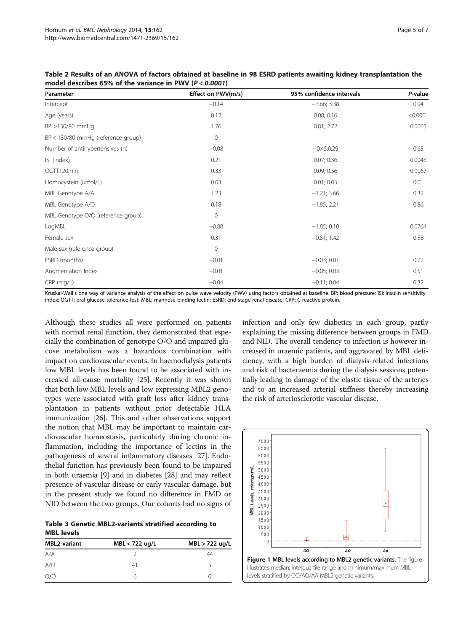| Parameter                          | Effect on PWV(m/s) | 95% confidence intervals | P-value  |
|------------------------------------|--------------------|--------------------------|----------|
| Intercept                          | $-0.14$            | $-3.66; 3.38$            | 0.94     |
| Age (years)                        | 0.12               | 0.08; 0.16               | < 0.0001 |
| BP >130/80 mmHg                    | 1.76               | 0.81; 2.72               | 0.0005   |
| BP < 130/80 mmHg (reference group) | $\mathbf{0}$       |                          |          |
| Number of antihypertensives (n)    | $-0.08$            | $-0.45;0.29$             | 0.65     |
| ISI (index)                        | 0.21               | 0.07; 0.36               | 0.0043   |
| OGTT120min                         | 0.33               | 0.09; 0.56               | 0.0067   |
| Homocystein (umol/L)               | 0.03               | 0.01; 0.05               | 0.01     |
| MBL Genotype A/A                   | 1.23               | $-1.21; 3.66$            | 0.32     |
| MBL Genotype A/O                   | 0.18               | $-1.85; 2.21$            | 0.86     |
| MBL Genotype O/O (reference group) | $\mathbf{0}$       |                          |          |
| LogMBL                             | $-0.88$            | $-1.85; 0.10$            | 0.0764   |
| Female sex                         | 0.31               | $-0.81; 1.42$            | 0.58     |
| Male sex (reference group)         | $\mathbf{0}$       |                          |          |
| ESRD (months)                      | $-0.01$            | $-0.03; 0.01$            | 0.22     |
| Augmentation Index                 | $-0.01$            | $-0.05; 0.03$            | 0.51     |
| $CRP$ (mg/L)                       | $-0.04$            | $-0.11; 0.04$            | 0.32     |

<span id="page-4-0"></span>Table 2 Results of an ANOVA of factors obtained at baseline in 98 ESRD patients awaiting kidney transplantation the model describes 65% of the variance in PWV ( $P < 0.0001$ )

Kruskal-Wallis one way of variance analysis of the effect on pulse wave velocity (PWV) using factors obtained at baseline. BP: blood pressure; ISI: insulin sensitivity index; OGTT: oral glucose tolerance test; MBL: mannose-binding lectin; ESRD: end-stage renal disease; CRP: C-reactive protein.

Although these studies all were performed on patients with normal renal function, they demonstrated that especially the combination of genotype O/O and impaired glucose metabolism was a hazardous combination with impact on cardiovascular events. In haemodialysis patients low MBL levels has been found to be associated with increased all-cause mortality [\[25\]](#page-6-0). Recently it was shown that both low MBL levels and low expressing MBL2 genotypes were associated with graft loss after kidney transplantation in patients without prior detectable HLA immunization [\[26\]](#page-6-0). This and other observations support the notion that MBL may be important to maintain cardiovascular homeostasis, particularly during chronic inflammation, including the importance of lectins in the pathogenesis of several inflammatory diseases [\[27\]](#page-6-0). Endothelial function has previously been found to be impaired in both uraemia [\[9](#page-5-0)] and in diabetes [\[28\]](#page-6-0) and may reflect presence of vascular disease or early vascular damage, but in the present study we found no difference in FMD or NID between the two groups. Our cohorts had no signs of

Table 3 Genetic MBL2-variants stratified according to MBL levels

| <b>MBL2-variant</b> | MBL < 722 ug/L | MBL > 722 ug/L |
|---------------------|----------------|----------------|
| A/A                 |                | 44             |
| A/O                 | 41             |                |
| O/O                 |                |                |

infection and only few diabetics in each group, partly explaining the missing difference between groups in FMD and NID. The overall tendency to infection is however increased in uraemic patients, and aggravated by MBL deficiency, with a high burden of dialysis-related infections and risk of bacteraemia during the dialysis sessions potentially leading to damage of the elastic tissue of the arteries and to an increased arterial stiffness thereby increasing the risk of arteriosclerotic vascular disease.

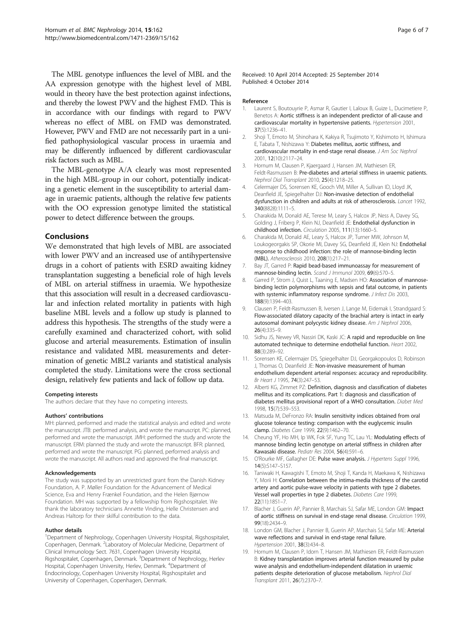<span id="page-5-0"></span>The MBL genotype influences the level of MBL and the AA expression genotype with the highest level of MBL would in theory have the best protection against infections, and thereby the lowest PWV and the highest FMD. This is in accordance with our findings with regard to PWV whereas no effect of MBL on FMD was demonstrated. However, PWV and FMD are not necessarily part in a unified pathophysiological vascular process in uraemia and may be differently influenced by different cardiovascular risk factors such as MBL.

The MBL-genotype A/A clearly was most represented in the high MBL-group in our cohort, potentially indicating a genetic element in the susceptibility to arterial damage in uraemic patients, although the relative few patients with the OO expression genotype limited the statistical power to detect difference between the groups.

## Conclusions

We demonstrated that high levels of MBL are associated with lower PWV and an increased use of antihypertensive drugs in a cohort of patients with ESRD awaiting kidney transplantation suggesting a beneficial role of high levels of MBL on arterial stiffness in uraemia. We hypothesize that this association will result in a decreased cardiovascular and infection related mortality in patients with high baseline MBL levels and a follow up study is planned to address this hypothesis. The strengths of the study were a carefully examined and characterized cohort, with solid glucose and arterial measurements. Estimation of insulin resistance and validated MBL measurements and determination of genetic MBL2 variants and statistical analysis completed the study. Limitations were the cross sectional design, relatively few patients and lack of follow up data.

#### Competing interests

The authors declare that they have no competing interests.

#### Authors' contributions

MH: planned, performed and made the statistical analysis and edited and wrote the manuscript. JTB: performed analysis, and wrote the manuscript. PC: planned, performed and wrote the manuscript. JMH: performed the study and wrote the manuscript. ERM: planned the study and wrote the manuscript. BFR: planned, performed and wrote the manuscript. PG: planned, performed analysis and wrote the manuscript. All authors read and approved the final manuscript.

#### Acknowledgements

The study was supported by an unrestricted grant from the Danish Kidney Foundation, A. P. Møller Foundation for the Advancement of Medical Science, Eva and Henry Frænkel Foundation, and the Helen Bjørnow Foundation. MH was supported by a fellowship from Rigshospitalet. We thank the laboratory technicians Annette Vinding, Helle Christensen and Andreas Haltorp for their skilful contribution to the data.

#### Author details

<sup>1</sup>Department of Nephrology, Copenhagen University Hospital, Rigshospitalet, Copenhagen, Denmark. <sup>2</sup> Laboratory of Molecular Medicine, Department of Clinical Immunology Sect. 7631, Copenhagen University Hospital, Rigshospitalet, Copenhagen, Denmark. <sup>3</sup>Department of Nephrology, Herlev Hospital, Copenhagen University, Herlev, Denmark. <sup>4</sup>Department of Endocrinology, Copenhagen University Hospital, Rigshospitalet and University of Copenhagen, Copenhagen, Denmark.

Received: 10 April 2014 Accepted: 25 September 2014 Published: 4 October 2014

#### Reference

- 1. Laurent S, Boutouyrie P, Asmar R, Gautier I, Laloux B, Guize L, Ducimetiere P, Benetos A: Aortic stiffness is an independent predictor of all-cause and cardiovascular mortality in hypertensive patients. Hypertension 2001, 37(5):1236–41.
- 2. Shoji T, Emoto M, Shinohara K, Kakiya R, Tsujimoto Y, Kishimoto H, Ishimura E, Tabata T, Nishizawa Y: Diabetes mellitus, aortic stiffness, and cardiovascular mortality in end-stage renal disease. J Am Soc Nephrol 2001, 12(10):2117–24.
- 3. Hornum M, Clausen P, Kjaergaard J, Hansen JM, Mathiesen ER, Feldt-Rasmussen B: Pre-diabetes and arterial stiffness in uraemic patients. Nephrol Dial Transplant 2010, 25(4):1218–25.
- 4. Celermajer DS, Sorensen KE, Gooch VM, Miller A, Sullivan ID, Lloyd JK, Deanfield JE, Spiegelhalter DJ: Non-invasive detection of endothelial dysfunction in children and adults at risk of atherosclerosis. Lancet 1992, 340(8828):1111–5.
- 5. Charakida M, Donald AE, Terese M, Leary S, Halcox JP, Ness A, Davey SG, Golding J, Friberg P, Klein NJ, Deanfield JE: Endothelial dysfunction in childhood infection. Circulation 2005, 111(13):1660–5.
- 6. Charakida M, Donald AE, Leary S, Halcox JP, Turner MW, Johnson M, Loukogeorgakis SP, Okorie MI, Davey SG, Deanfield JE, Klein NJ: Endothelial response to childhood infection: the role of mannose-binding lectin (MBL). Atherosclerosis 2010, 208(1):217–21.
- 7. Bay JT, Garred P: Rapid bead-based immunoassay for measurement of mannose-binding lectin. Scand J Immunol 2009, 69(6):570–5.
- 8. Garred P, Strom J, Quist L, Taaning E, Madsen HO: Association of mannosebinding lectin polymorphisms with sepsis and fatal outcome, in patients with systemic inflammatory response syndrome. J Infect Dis 2003, 188(9):1394–403.
- 9. Clausen P, Feldt-Rasmussen B, Iversen J, Lange M, Eidemak I, Strandgaard S: Flow-associated dilatory capacity of the brachial artery is intact in early autosomal dominant polycystic kidney disease. Am J Nephrol 2006, 26(4):335–9.
- 10. Sidhu JS, Newey VR, Nassiri DK, Kaski JC: A rapid and reproducible on line automated technique to determine endothelial function. Heart 2002, 88(3):289–92.
- 11. Sorensen KE, Celermajer DS, Spiegelhalter DJ, Georgakopoulos D, Robinson J, Thomas O, Deanfield JE: Non-invasive measurement of human endothelium dependent arterial responses: accuracy and reproducibility. Br Heart J 1995, 74(3):247–53.
- 12. Alberti KG, Zimmet PZ: Definition, diagnosis and classification of diabetes mellitus and its complications. Part 1: diagnosis and classification of diabetes mellitus provisional report of a WHO consultation. Diabet Med 1998, 15(7):539–553.
- 13. Matsuda M, DeFronzo RA: Insulin sensitivity indices obtained from oral glucose tolerance testing: comparison with the euglycemic insulin clamp. Diabetes Care 1999, 22(9):1462–70.
- 14. Cheung YF, Ho MH, Ip WK, Fok SF, Yung TC, Lau YL: Modulating effects of mannose binding lectin genotype on arterial stiffness in children after Kawasaki disease. Pediatr Res 2004, 56(4):591–6.
- 15. O'Rourke MF, Gallagher DE: Pulse wave analysis. J Hypertens Suppl 1996, 14(5):S147–S157.
- 16. Taniwaki H, Kawagishi T, Emoto M, Shoji T, Kanda H, Maekawa K, Nishizawa Y, Morii H: Correlation between the intima-media thickness of the carotid artery and aortic pulse-wave velocity in patients with type 2 diabetes. Vessel wall properties in type 2 diabetes. Diabetes Care 1999, 22(11):1851–7.
- 17. Blacher J, Guerin AP, Pannier B, Marchais SJ, Safar ME, London GM: Impact of aortic stiffness on survival in end-stage renal disease. Circulation 1999, 99(18):2434–9.
- 18. London GM, Blacher J, Pannier B, Guerin AP, Marchais SJ, Safar ME: Arterial wave reflections and survival in end-stage renal failure. Hypertension 2001, 38(3):434–8.
- 19. Hornum M, Clausen P, Idorn T, Hansen JM, Mathiesen ER, Feldt-Rasmussen B: Kidney transplantation improves arterial function measured by pulse wave analysis and endothelium-independent dilatation in uraemic patients despite deterioration of glucose metabolism. Nephrol Dial Transplant 2011, 26(7):2370–7.